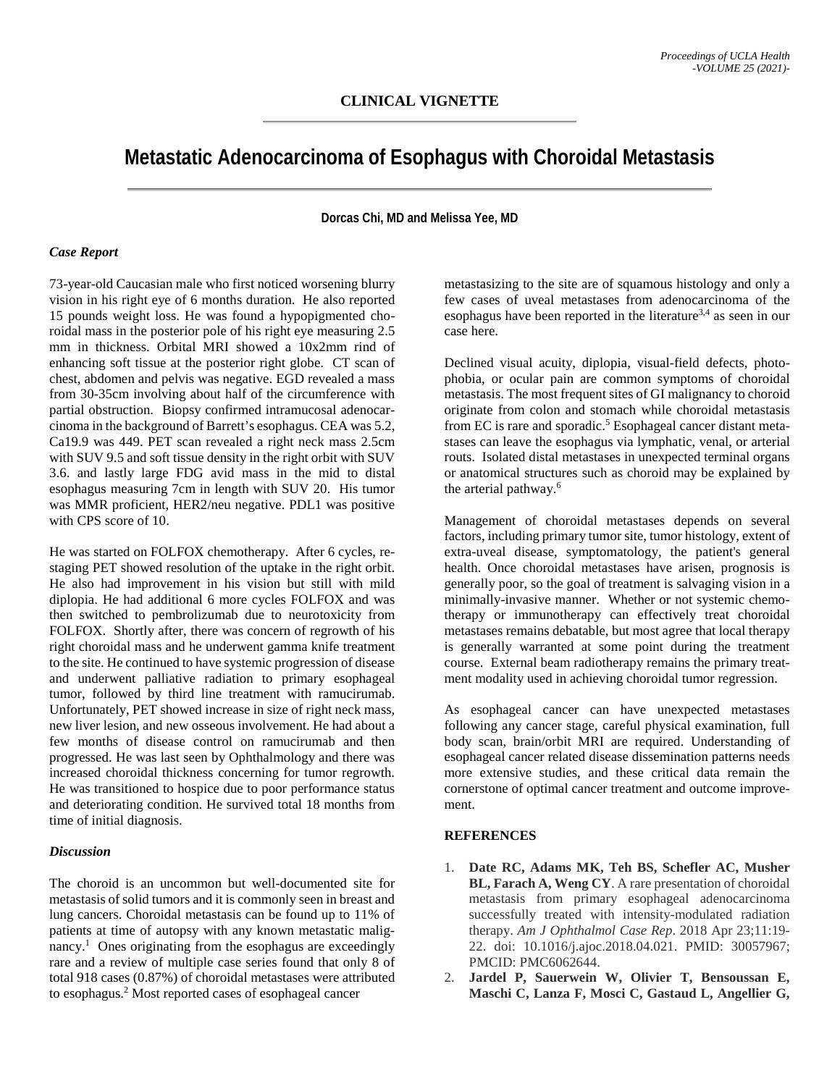## **Metastatic Adenocarcinoma of Esophagus with Choroidal Metastasis**

**Dorcas Chi, MD and Melissa Yee, MD**

## *Case Report*

73-year-old Caucasian male who first noticed worsening blurry vision in his right eye of 6 months duration. He also reported 15 pounds weight loss. He was found a hypopigmented choroidal mass in the posterior pole of his right eye measuring 2.5 mm in thickness. Orbital MRI showed a 10x2mm rind of enhancing soft tissue at the posterior right globe. CT scan of chest, abdomen and pelvis was negative. EGD revealed a mass from 30-35cm involving about half of the circumference with partial obstruction. Biopsy confirmed intramucosal adenocarcinoma in the background of Barrett's esophagus. CEA was 5.2, Ca19.9 was 449. PET scan revealed a right neck mass 2.5cm with SUV 9.5 and soft tissue density in the right orbit with SUV 3.6. and lastly large FDG avid mass in the mid to distal esophagus measuring 7cm in length with SUV 20. His tumor was MMR proficient, HER2/neu negative. PDL1 was positive with CPS score of 10.

He was started on FOLFOX chemotherapy. After 6 cycles, restaging PET showed resolution of the uptake in the right orbit. He also had improvement in his vision but still with mild diplopia. He had additional 6 more cycles FOLFOX and was then switched to pembrolizumab due to neurotoxicity from FOLFOX. Shortly after, there was concern of regrowth of his right choroidal mass and he underwent gamma knife treatment to the site. He continued to have systemic progression of disease and underwent palliative radiation to primary esophageal tumor, followed by third line treatment with ramucirumab. Unfortunately, PET showed increase in size of right neck mass, new liver lesion, and new osseous involvement. He had about a few months of disease control on ramucirumab and then progressed. He was last seen by Ophthalmology and there was increased choroidal thickness concerning for tumor regrowth. He was transitioned to hospice due to poor performance status and deteriorating condition. He survived total 18 months from time of initial diagnosis.

## *Discussion*

The choroid is an uncommon but well-documented site for metastasis of solid tumors and it is commonly seen in breast and lung cancers. Choroidal metastasis can be found up to 11% of patients at time of autopsy with any known metastatic malignancy. <sup>1</sup> Ones originating from the esophagus are exceedingly rare and a review of multiple case series found that only 8 of total 918 cases (0.87%) of choroidal metastases were attributed to esophagus. <sup>2</sup> Most reported cases of esophageal cancer

metastasizing to the site are of squamous histology and only a few cases of uveal metastases from adenocarcinoma of the esophagus have been reported in the literature<sup>3,4</sup> as seen in our case here.

Declined visual acuity, diplopia, visual-field defects, photophobia, or ocular pain are common symptoms of choroidal metastasis. The most frequent sites of GI malignancy to choroid originate from colon and stomach while choroidal metastasis from EC is rare and sporadic.<sup>5</sup> Esophageal cancer distant metastases can leave the esophagus via lymphatic, venal, or arterial routs. Isolated distal metastases in unexpected terminal organs or anatomical structures such as choroid may be explained by the arterial pathway.<sup>6</sup>

Management of choroidal metastases depends on several factors, including primary tumor site, tumor histology, extent of extra-uveal disease, symptomatology, the patient's general health. Once choroidal metastases have arisen, prognosis is generally poor, so the goal of treatment is salvaging vision in a minimally-invasive manner. Whether or not systemic chemotherapy or immunotherapy can effectively treat choroidal metastases remains debatable, but most agree that local therapy is generally warranted at some point during the treatment course. External beam radiotherapy remains the primary treatment modality used in achieving choroidal tumor regression.

As esophageal cancer can have unexpected metastases following any cancer stage, careful physical examination, full body scan, brain/orbit MRI are required. Understanding of esophageal cancer related disease dissemination patterns needs more extensive studies, and these critical data remain the cornerstone of optimal cancer treatment and outcome improvement.

## **REFERENCES**

- 1. **Date RC, Adams MK, Teh BS, Schefler AC, Musher BL, Farach A, Weng CY**. A rare presentation of choroidal metastasis from primary esophageal adenocarcinoma successfully treated with intensity-modulated radiation therapy. *Am J Ophthalmol Case Rep*. 2018 Apr 23;11:19- 22. doi: 10.1016/j.ajoc.2018.04.021. PMID: 30057967; PMCID: PMC6062644.
- 2. **Jardel P, Sauerwein W, Olivier T, Bensoussan E, Maschi C, Lanza F, Mosci C, Gastaud L, Angellier G,**